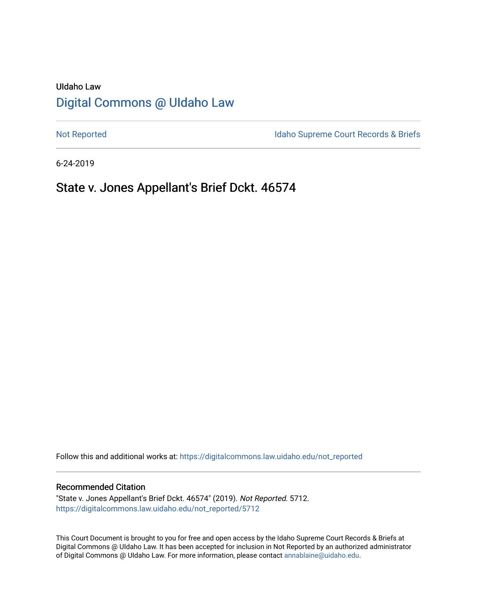# UIdaho Law [Digital Commons @ UIdaho Law](https://digitalcommons.law.uidaho.edu/)

[Not Reported](https://digitalcommons.law.uidaho.edu/not_reported) **Idaho Supreme Court Records & Briefs** 

6-24-2019

# State v. Jones Appellant's Brief Dckt. 46574

Follow this and additional works at: [https://digitalcommons.law.uidaho.edu/not\\_reported](https://digitalcommons.law.uidaho.edu/not_reported?utm_source=digitalcommons.law.uidaho.edu%2Fnot_reported%2F5712&utm_medium=PDF&utm_campaign=PDFCoverPages) 

### Recommended Citation

"State v. Jones Appellant's Brief Dckt. 46574" (2019). Not Reported. 5712. [https://digitalcommons.law.uidaho.edu/not\\_reported/5712](https://digitalcommons.law.uidaho.edu/not_reported/5712?utm_source=digitalcommons.law.uidaho.edu%2Fnot_reported%2F5712&utm_medium=PDF&utm_campaign=PDFCoverPages)

This Court Document is brought to you for free and open access by the Idaho Supreme Court Records & Briefs at Digital Commons @ UIdaho Law. It has been accepted for inclusion in Not Reported by an authorized administrator of Digital Commons @ UIdaho Law. For more information, please contact [annablaine@uidaho.edu](mailto:annablaine@uidaho.edu).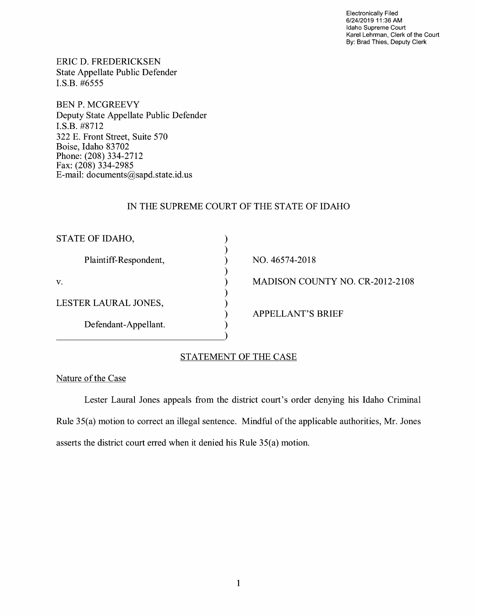Electronically Filed 6/24/2019 11 :36 AM Idaho Supreme Court Karel Lehrman, Clerk of the Court By: Brad Thies, Deputy Clerk

ERIC D. FREDERICKSEN State Appellate Public Defender I.S.B. #6555

BEN P. MCGREEVY Deputy State Appellate Public Defender **I.S.B.** #8712 322 E. Front Street, Suite 570 Boise, Idaho 83702 Phone: (208) 334-2712 Fax: (208) 334-2985 E-mail: documents@sapd.state.id. us

## IN THE SUPREME COURT OF THE STATE OF IDAHO

| STATE OF IDAHO,       |                                        |
|-----------------------|----------------------------------------|
| Plaintiff-Respondent, | NO. 46574-2018                         |
| v.                    | <b>MADISON COUNTY NO. CR-2012-2108</b> |
| LESTER LAURAL JONES,  |                                        |
| Defendant-Appellant.  | <b>APPELLANT'S BRIEF</b>               |

# STATEMENT OF THE CASE

Nature of the Case

Lester Laural Jones appeals from the district court's order denying his Idaho Criminal Rule 35(a) motion to correct an illegal sentence. Mindful of the applicable authorities, Mr. Jones asserts the district court erred when it denied his Rule 35(a) motion.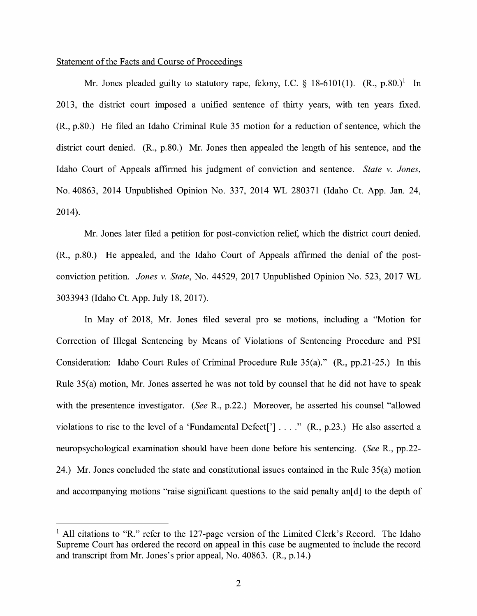### Statement of the Facts and Course of Proceedings

Mr. Jones pleaded guilty to statutory rape, felony, I.C.  $\S$  18-6101(1).  $(R., p.80.)^1$  In 2013, the district court imposed a unified sentence of thirty years, with ten years fixed. (R., p.80.) He filed an Idaho Criminal Rule 35 motion for a reduction of sentence, which the district court denied. (R., p.80.) Mr. Jones then appealed the length of his sentence, and the Idaho Court of Appeals affirmed his judgment of conviction and sentence. *State v. Jones,*  No. 40863, 2014 Unpublished Opinion No. 337, 2014 WL 280371 (Idaho Ct. App. Jan. 24, 2014).

Mr. Jones later filed a petition for post-conviction relief, which the district court denied. (R., p.80.) He appealed, and the Idaho Court of Appeals affirmed the denial of the postconviction petition. *Jones v. State,* No. 44529, 2017 Unpublished Opinion No. 523, 2017 WL 3033943 (Idaho Ct. App. July 18, 2017).

In May of 2018, Mr. Jones filed several pro se motions, including a "Motion for Correction of Illegal Sentencing by Means of Violations of Sentencing Procedure and PSI Consideration: Idaho Court Rules of Criminal Procedure Rule 35(a)." (R., pp.21-25.) In this Rule 35(a) motion, Mr. Jones asserted he was not told by counsel that he did not have to speak with the presentence investigator. *(See* R., p.22.) Moreover, he asserted his counsel "allowed violations to rise to the level of a 'Fundamental Defect['] .... " (R., p.23.) He also asserted a neuropsychological examination should have been done before his sentencing. *(See* R., pp.22- 24.) Mr. Jones concluded the state and constitutional issues contained in the Rule 35(a) motion and accompanying motions "raise significant questions to the said penalty and  $d$ ] to the depth of

<sup>&</sup>lt;sup>1</sup> All citations to "R." refer to the 127-page version of the Limited Clerk's Record. The Idaho Supreme Court has ordered the record on appeal in this case be augmented to include the record and transcript from Mr. Jones's prior appeal, No. 40863. (R., p.14.)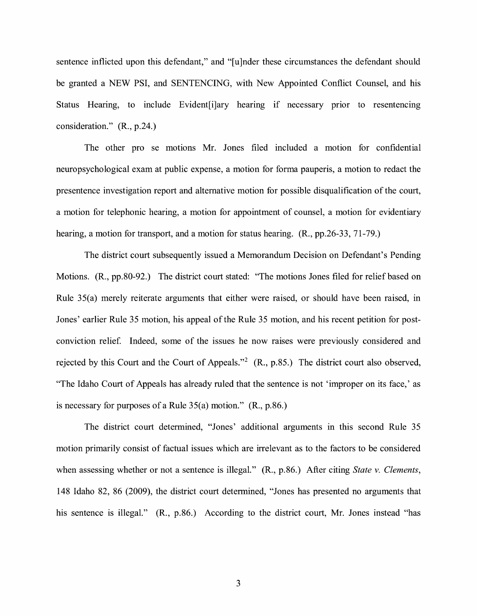sentence inflicted upon this defendant," and "[u]nder these circumstances the defendant should be granted a NEW PSI, and SENTENCING, with New Appointed Conflict Counsel, and his Status Hearing, to include Evident[i]ary hearing if necessary prior to resentencing consideration." (R., p.24.)

The other pro se motions Mr. Jones filed included a motion for confidential neuropsychological exam at public expense, a motion for forma pauperis, a motion to redact the presentence investigation report and alternative motion for possible disqualification of the court, a motion for telephonic hearing, a motion for appointment of counsel, a motion for evidentiary hearing, a motion for transport, and a motion for status hearing. (R., pp.26-33, 71-79.)

The district court subsequently issued a Memorandum Decision on Defendant's Pending Motions. (R., pp.80-92.) The district court stated: "The motions Jones filed for relief based on Rule 35(a) merely reiterate arguments that either were raised, or should have been raised, in Jones' earlier Rule 35 motion, his appeal of the Rule 35 motion, and his recent petition for postconviction relief Indeed, some of the issues he now raises were previously considered and rejected by this Court and the Court of Appeals."<sup>2</sup> (R., p.85.) The district court also observed, "The Idaho Court of Appeals has already ruled that the sentence is not 'improper on its face,' as is necessary for purposes of a Rule 35(a) motion." (R., p.86.)

The district court determined, "Jones' additional arguments in this second Rule 35 motion primarily consist of factual issues which are irrelevant as to the factors to be considered when assessing whether or not a sentence is illegal." (R., p.86.) After citing *State v. Clements*, 148 Idaho 82, 86 (2009), the district court determined, "Jones has presented no arguments that his sentence is illegal." (R., p.86.) According to the district court, Mr. Jones instead "has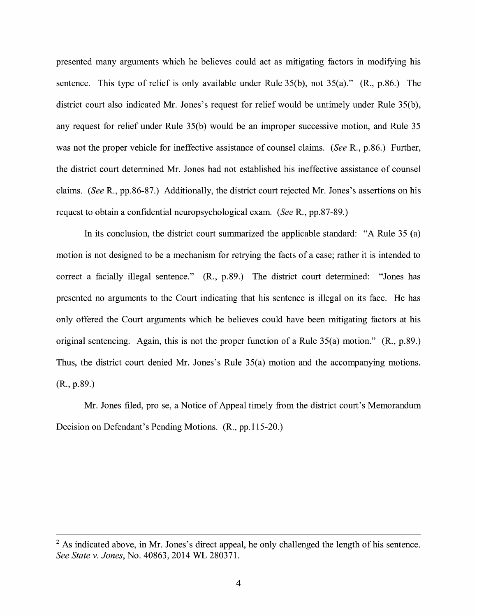presented many arguments which he believes could act as mitigating factors in modifying his sentence. This type of relief is only available under Rule 35(b), not 35(a)." (R., p.86.) The district court also indicated Mr. Jones's request for relief would be untimely under Rule 35(b), any request for relief under Rule 35(b) would be an improper successive motion, and Rule 35 was not the proper vehicle for ineffective assistance of counsel claims. *(See* **R.,** p.86.) Further, the district court determined Mr. Jones had not established his ineffective assistance of counsel claims. *(See* **R.,** pp.86-87.) Additionally, the district court rejected Mr. Jones's assertions on his request to obtain a confidential neuropsychological exam. *(See* R., pp.87-89.)

In its conclusion, the district court summarized the applicable standard: "A Rule 35 (a) motion is not designed to be a mechanism for retrying the facts of a case; rather it is intended to correct a facially illegal sentence." (R., p.89.) The district court determined: "Jones has presented no arguments to the Court indicating that his sentence is illegal on its face. He has only offered the Court arguments which he believes could have been mitigating factors at his original sentencing. Again, this is not the proper function of a Rule 35(a) motion." **(R.,** p.89.) Thus, the district court denied Mr. Jones's Rule 35(a) motion and the accompanying motions. (R., p.89.)

Mr. Jones filed, prose, a Notice of Appeal timely from the district court's Memorandum Decision on Defendant's Pending Motions. (R., pp.115-20.)

<sup>&</sup>lt;sup>2</sup> As indicated above, in Mr. Jones's direct appeal, he only challenged the length of his sentence. *See State v. Jones,* No. 40863, 2014 WL 280371.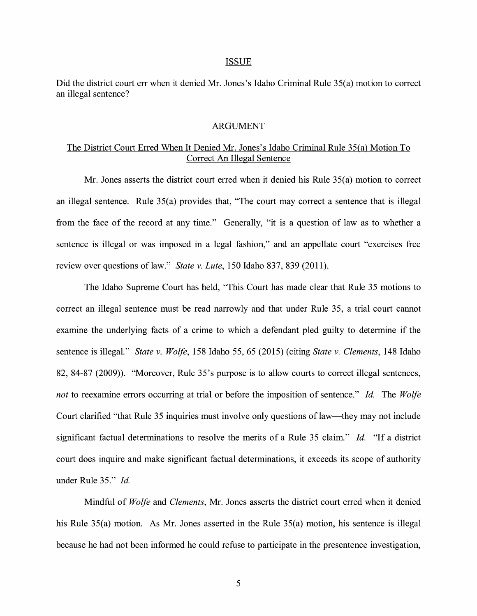#### ISSUE

Did the district court err when it denied Mr. Jones's Idaho Criminal Rule 35(a) motion to correct an illegal sentence?

### ARGUMENT

## The District Court Erred When It Denied Mr. Jones's Idaho Criminal Rule 35(a) Motion To Correct An Illegal Sentence

Mr. Jones asserts the district court erred when it denied his Rule 35(a) motion to correct an illegal sentence. Rule 35(a) provides that, "The court may correct a sentence that is illegal from the face of the record at any time." Generally, "it is a question of law as to whether a sentence is illegal or was imposed in a legal fashion," and an appellate court "exercises free review over questions of law." *State v. Lute*, 150 Idaho 837, 839 (2011).

The Idaho Supreme Court has held, "This Court has made clear that Rule 35 motions to correct an illegal sentence must be read narrowly and that under Rule 35, a trial court cannot examine the underlying facts of a crime to which a defendant pled guilty to determine if the sentence is illegal." *State v. Wolfe,* 158 Idaho 55, 65 (2015) (citing *State v. Clements,* 148 Idaho 82, 84-87 (2009)). "Moreover, Rule 35's purpose is to allow courts to correct illegal sentences, *not* to reexamine errors occurring at trial or before the imposition of sentence." *Id.* The *Wolfe*  Court clarified "that Rule 35 inquiries must involve only questions of law-they may not include significant factual determinations to resolve the merits of a Rule 35 claim." *Id.* "If a district court does inquire and make significant factual determinations, it exceeds its scope of authority under Rule 35." *Id.* 

Mindful of *Wolfe* and *Clements,* Mr. Jones asserts the district court erred when it denied his Rule 35(a) motion. As Mr. Jones asserted in the Rule 35(a) motion, his sentence is illegal because he had not been informed he could refuse to participate in the presentence investigation,